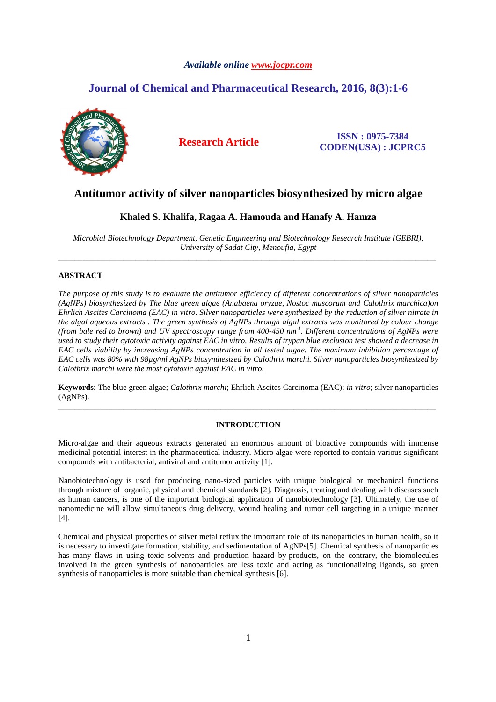# *Available online www.jocpr.com*

# **Journal of Chemical and Pharmaceutical Research, 2016, 8(3):1-6**



**Research Article ISSN : 0975-7384 CODEN(USA) : JCPRC5**

# **Antitumor activity of silver nanoparticles biosynthesized by micro algae**

# **Khaled S. Khalifa, Ragaa A. Hamouda and Hanafy A. Hamza**

*Microbial Biotechnology Department, Genetic Engineering and Biotechnology Research Institute (GEBRI), University of Sadat City, Menoufia, Egypt*  \_\_\_\_\_\_\_\_\_\_\_\_\_\_\_\_\_\_\_\_\_\_\_\_\_\_\_\_\_\_\_\_\_\_\_\_\_\_\_\_\_\_\_\_\_\_\_\_\_\_\_\_\_\_\_\_\_\_\_\_\_\_\_\_\_\_\_\_\_\_\_\_\_\_\_\_\_\_\_\_\_\_\_\_\_\_\_\_\_\_\_\_\_

# **ABSTRACT**

*The purpose of this study is to evaluate the antitumor efficiency of different concentrations of silver nanoparticles (AgNPs) biosynthesized by The blue green algae (Anabaena oryzae, Nostoc muscorum and Calothrix marchica)on Ehrlich Ascites Carcinoma (EAC) in vitro. Silver nanoparticles were synthesized by the reduction of silver nitrate in the algal aqueous extracts . The green synthesis of AgNPs through algal extracts was monitored by colour change (from bale red to brown) and UV spectroscopy range from 400-450 nm-1. Different concentrations of AgNPs were used to study their cytotoxic activity against EAC in vitro. Results of trypan blue exclusion test showed a decrease in EAC cells viability by increasing AgNPs concentration in all tested algae. The maximum inhibition percentage of EAC cells was 80% with 98µg/ml AgNPs biosynthesized by Calothrix marchi. Silver nanoparticles biosynthesized by Calothrix marchi were the most cytotoxic against EAC in vitro.* 

**Keywords**: The blue green algae; *Calothrix marchi*; Ehrlich Ascites Carcinoma (EAC); *in vitro*; silver nanoparticles (AgNPs). \_\_\_\_\_\_\_\_\_\_\_\_\_\_\_\_\_\_\_\_\_\_\_\_\_\_\_\_\_\_\_\_\_\_\_\_\_\_\_\_\_\_\_\_\_\_\_\_\_\_\_\_\_\_\_\_\_\_\_\_\_\_\_\_\_\_\_\_\_\_\_\_\_\_\_\_\_\_\_\_\_\_\_\_\_\_\_\_\_\_\_\_\_

# **INTRODUCTION**

Micro-algae and their aqueous extracts generated an enormous amount of bioactive compounds with immense medicinal potential interest in the pharmaceutical industry. Micro algae were reported to contain various significant compounds with antibacterial, antiviral and antitumor activity [1].

Nanobiotechnology is used for producing nano-sized particles with unique biological or mechanical functions through mixture of organic, physical and chemical standards [2]. Diagnosis, treating and dealing with diseases such as human cancers, is one of the important biological application of nanobiotechnology [3]. Ultimately, the use of nanomedicine will allow simultaneous drug delivery, wound healing and tumor cell targeting in a unique manner [4].

Chemical and physical properties of silver metal reflux the important role of its nanoparticles in human health, so it is necessary to investigate formation, stability, and sedimentation of AgNPs[5]. Chemical synthesis of nanoparticles has many flaws in using toxic solvents and production hazard by-products, on the contrary, the biomolecules involved in the green synthesis of nanoparticles are less toxic and acting as functionalizing ligands, so green synthesis of nanoparticles is more suitable than chemical synthesis [6].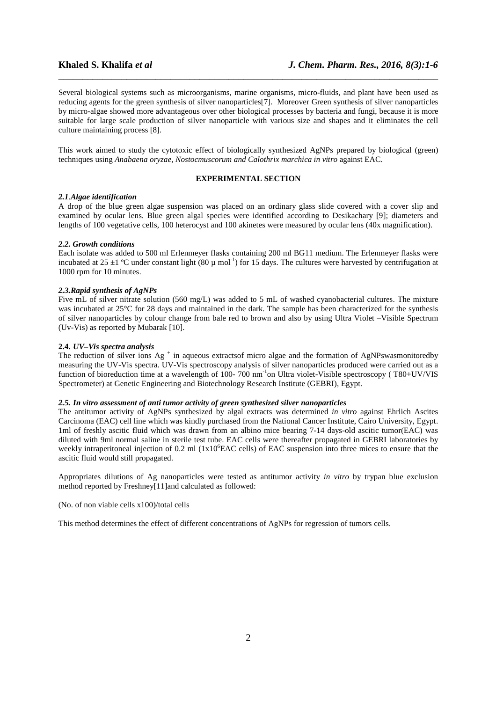Several biological systems such as microorganisms, marine organisms, micro-fluids, and plant have been used as reducing agents for the green synthesis of silver nanoparticles[7]. Moreover Green synthesis of silver nanoparticles by micro-algae showed more advantageous over other biological processes by bacteria and fungi, because it is more suitable for large scale production of silver nanoparticle with various size and shapes and it eliminates the cell culture maintaining process [8].

\_\_\_\_\_\_\_\_\_\_\_\_\_\_\_\_\_\_\_\_\_\_\_\_\_\_\_\_\_\_\_\_\_\_\_\_\_\_\_\_\_\_\_\_\_\_\_\_\_\_\_\_\_\_\_\_\_\_\_\_\_\_\_\_\_\_\_\_\_\_\_\_\_\_\_\_\_\_

This work aimed to study the cytotoxic effect of biologically synthesized AgNPs prepared by biological (green) techniques using *Anabaena oryzae, Nostocmuscorum and Calothrix marchica in vitro* against EAC.

# **EXPERIMENTAL SECTION**

### *2.1.Algae identification*

A drop of the blue green algae suspension was placed on an ordinary glass slide covered with a cover slip and examined by ocular lens. Blue green algal species were identified according to Desikachary [9]; diameters and lengths of 100 vegetative cells, 100 heterocyst and 100 akinetes were measured by ocular lens (40x magnification).

#### *2.2. Growth conditions*

Each isolate was added to 500 ml Erlenmeyer flasks containing 200 ml BG11 medium. The Erlenmeyer flasks were incubated at 25  $\pm$ 1 °C under constant light (80  $\mu$  mol<sup>-1</sup>) for 15 days. The cultures were harvested by centrifugation at 1000 rpm for 10 minutes.

# *2.3.Rapid synthesis of AgNPs*

Five mL of silver nitrate solution (560 mg/L) was added to 5 mL of washed cyanobacterial cultures. The mixture was incubated at 25°C for 28 days and maintained in the dark. The sample has been characterized for the synthesis of silver nanoparticles by colour change from bale red to brown and also by using Ultra Violet –Visible Spectrum (Uv-Vis) as reported by Mubarak [10].

# **2.4.** *UV–Vis spectra analysis*

The reduction of silver ions Ag<sup>+</sup> in aqueous extractsof micro algae and the formation of AgNPswasmonitoredby measuring the UV-Vis spectra. UV-Vis spectroscopy analysis of silver nanoparticles produced were carried out as a function of bioreduction time at a wavelength of 100- 700 nm-1on Ultra violet-Visible spectroscopy ( T80+UV/VIS Spectrometer) at Genetic Engineering and Biotechnology Research Institute (GEBRI), Egypt.

#### *2.5. In vitro assessment of anti tumor activity of green synthesized silver nanoparticles*

The antitumor activity of AgNPs synthesized by algal extracts was determined *in vitro* against Ehrlich Ascites Carcinoma (EAC) cell line which was kindly purchased from the National Cancer Institute, Cairo University, Egypt. 1ml of freshly ascitic fluid which was drawn from an albino mice bearing 7-14 days-old ascitic tumor(EAC) was diluted with 9ml normal saline in sterile test tube. EAC cells were thereafter propagated in GEBRI laboratories by weekly intraperitoneal injection of 0.2 ml  $(1x10<sup>6</sup> BAC$  cells) of EAC suspension into three mices to ensure that the ascitic fluid would still propagated.

Appropriates dilutions of Ag nanoparticles were tested as antitumor activity *in vitro* by trypan blue exclusion method reported by Freshney[11]and calculated as followed:

(No. of non viable cells x100)/total cells

This method determines the effect of different concentrations of AgNPs for regression of tumors cells.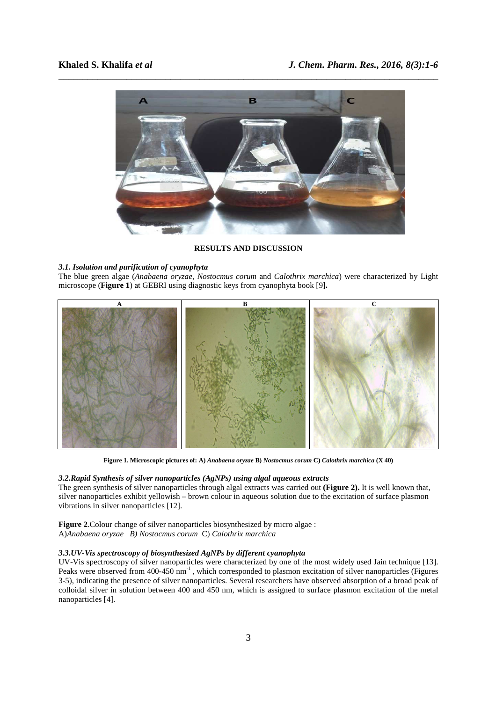

**RESULTS AND DISCUSSION** 

#### *3.1. Isolation and purification of cyanophyta*

The blue green algae (*Anabaena oryzae, Nostocmus corum* and *Calothrix marchica*) were characterized by Light microscope (**Figure 1**) at GEBRI using diagnostic keys from cyanophyta book [9]**.**



**Figure 1. Microscopic pictures of: A)** *Anabaena oryzae* **B)** *Nostocmus corum* **C)** *Calothrix marchica* **(X 40)** 

# *3.2.Rapid Synthesis of silver nanoparticles (AgNPs) using algal aqueous extracts*

The green synthesis of silver nanoparticles through algal extracts was carried out **(Figure 2).** It is well known that, silver nanoparticles exhibit yellowish – brown colour in aqueous solution due to the excitation of surface plasmon vibrations in silver nanoparticles [12].

**Figure 2**.Colour change of silver nanoparticles biosynthesized by micro algae : A)*Anabaena oryzae B) Nostocmus corum* C) *Calothrix marchica* 

# *3.3.UV-Vis spectroscopy of biosynthesized AgNPs by different cyanophyta*

UV-Vis spectroscopy of silver nanoparticles were characterized by one of the most widely used Jain technique [13]. Peaks were observed from 400-450 nm<sup>-1</sup>, which corresponded to plasmon excitation of silver nanoparticles (Figures 3-5), indicating the presence of silver nanoparticles. Several researchers have observed absorption of a broad peak of colloidal silver in solution between 400 and 450 nm, which is assigned to surface plasmon excitation of the metal nanoparticles [4].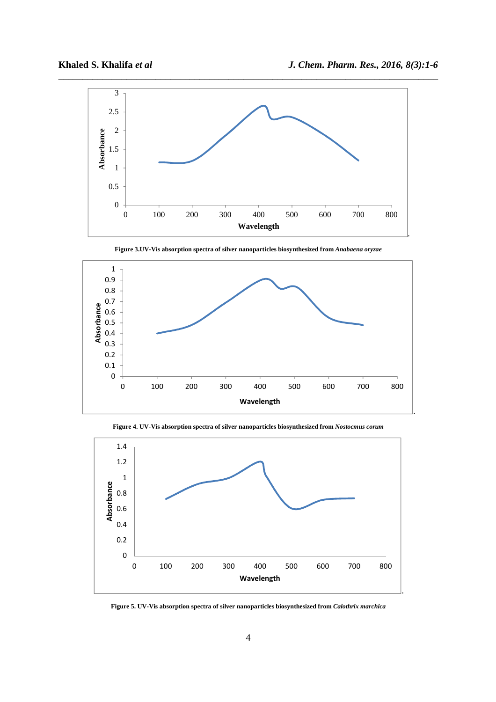

**Figure 3.UV-Vis absorption spectra of silver nanoparticles biosynthesized from** *Anabaena oryzae*



**Figure 4. UV-Vis absorption spectra of silver nanoparticles biosynthesized from** *Nostocmus corum*



**Figure 5. UV-Vis absorption spectra of silver nanoparticles biosynthesized from** *Calothrix marchica*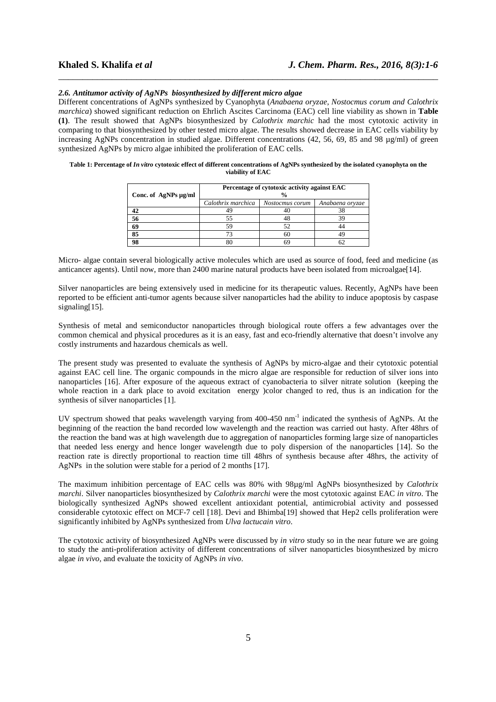#### *2.6. Antitumor activity of AgNPs biosynthesized by different micro algae*

Different concentrations of AgNPs synthesized by Cyanophyta (*Anabaena oryzae, Nostocmus corum and Calothrix marchica*) showed significant reduction on Ehrlich Ascites Carcinoma (EAC) cell line viability as shown in **Table (1)**. The result showed that AgNPs biosynthesized by *Calothrix marchic* had the most cytotoxic activity in comparing to that biosynthesized by other tested micro algae. The results showed decrease in EAC cells viability by increasing AgNPs concentration in studied algae. Different concentrations (42, 56, 69, 85 and 98 µg/ml) of green synthesized AgNPs by micro algae inhibited the proliferation of EAC cells.

\_\_\_\_\_\_\_\_\_\_\_\_\_\_\_\_\_\_\_\_\_\_\_\_\_\_\_\_\_\_\_\_\_\_\_\_\_\_\_\_\_\_\_\_\_\_\_\_\_\_\_\_\_\_\_\_\_\_\_\_\_\_\_\_\_\_\_\_\_\_\_\_\_\_\_\_\_\_

#### **Table 1: Percentage of** *In vitro* **cytotoxic effect of different concentrations of AgNPs synthesized by the isolated cyanophyta on the viability of EAC**

|                      | Percentage of cytotoxic activity against EAC |                 |                 |
|----------------------|----------------------------------------------|-----------------|-----------------|
| Conc. of AgNPs µg/ml | $\frac{0}{0}$                                |                 |                 |
|                      | Calothrix marchica                           | Nostocmus corum | Anabaena oryzae |
|                      |                                              |                 | 38              |
| 56                   |                                              |                 | 39              |
| 69                   |                                              |                 | 44              |
| 85                   |                                              |                 | 49              |
| 98                   |                                              |                 |                 |

Micro- algae contain several biologically active molecules which are used as source of food, feed and medicine (as anticancer agents). Until now, more than 2400 marine natural products have been isolated from microalgae[14].

Silver nanoparticles are being extensively used in medicine for its therapeutic values. Recently, AgNPs have been reported to be efficient anti-tumor agents because silver nanoparticles had the ability to induce apoptosis by caspase signaling[15].

Synthesis of metal and semiconductor nanoparticles through biological route offers a few advantages over the common chemical and physical procedures as it is an easy, fast and eco-friendly alternative that doesn't involve any costly instruments and hazardous chemicals as well.

The present study was presented to evaluate the synthesis of AgNPs by micro-algae and their cytotoxic potential against EAC cell line. The organic compounds in the micro algae are responsible for reduction of silver ions into nanoparticles [16]. After exposure of the aqueous extract of cyanobacteria to silver nitrate solution (keeping the whole reaction in a dark place to avoid excitation energy )color changed to red, thus is an indication for the synthesis of silver nanoparticles [1].

UV spectrum showed that peaks wavelength varying from 400-450 nm<sup>-1</sup> indicated the synthesis of AgNPs. At the beginning of the reaction the band recorded low wavelength and the reaction was carried out hasty. After 48hrs of the reaction the band was at high wavelength due to aggregation of nanoparticles forming large size of nanoparticles that needed less energy and hence longer wavelength due to poly dispersion of the nanoparticles [14]. So the reaction rate is directly proportional to reaction time till 48hrs of synthesis because after 48hrs, the activity of AgNPs in the solution were stable for a period of 2 months [17].

The maximum inhibition percentage of EAC cells was 80% with 98µg/ml AgNPs biosynthesized by *Calothrix marchi*. Silver nanoparticles biosynthesized by *Calothrix marchi* were the most cytotoxic against EAC *in vitro*. The biologically synthesized AgNPs showed excellent antioxidant potential, antimicrobial activity and possessed considerable cytotoxic effect on MCF-7 cell [18]. Devi and Bhimba[19] showed that Hep2 cells proliferation were significantly inhibited by AgNPs synthesized from *Ulva lactucain vitro*.

The cytotoxic activity of biosynthesized AgNPs were discussed by *in vitro* study so in the near future we are going to study the anti-proliferation activity of different concentrations of silver nanoparticles biosynthesized by micro algae *in vivo,* and evaluate the toxicity of AgNPs *in vivo*.